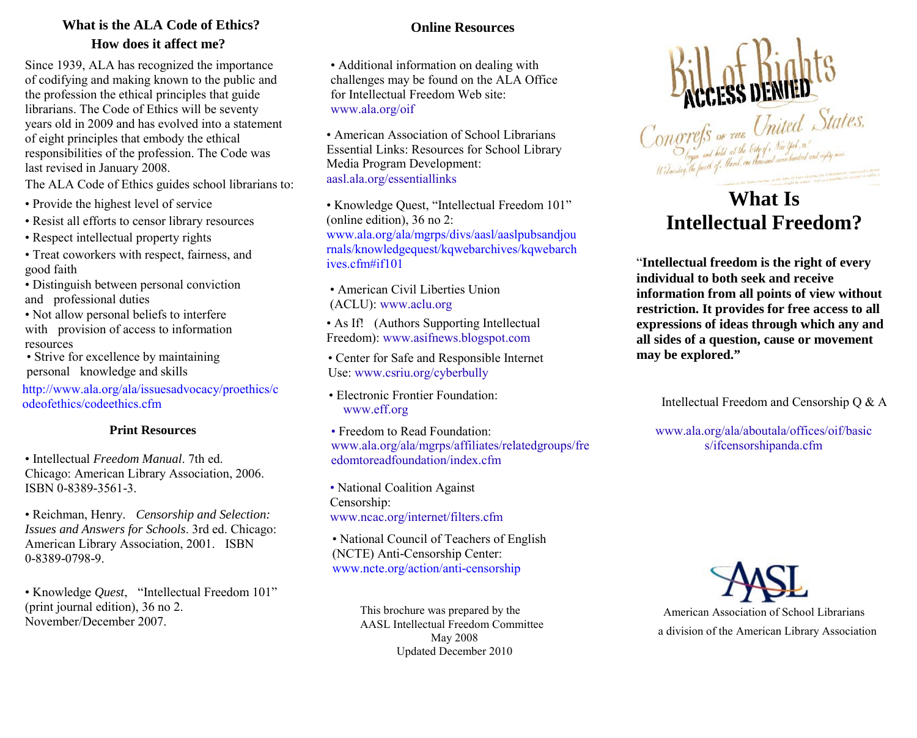# **What is the ALA Code of Ethics? How does it affect me?**

Since 1939, ALA has recognized the importance of codifying and making known to the public and the profession the ethical principles that guide librarians. The Code of Ethics will be seventy years old in 2009 and has evolved into a statement of eight principles that embody the ethical responsibilities of the profession. The Code was last revised in January 2008.

The ALA Code of Ethics guides school librarians to:

- Provide the highest level of service
- Resist all efforts to censor library resources
- Respect intellectual property rights
- Treat coworkers with respect, fairness, and good faith
- Distinguish between personal conviction and professional duties
- Not allow personal beliefs to interfere with provision of access to information resources
- Strive for excellence by maintaining personal knowledge and skills

[http://www.ala.org/ala/issuesadvocacy/proethics/c](http://www.ala.org/ala/issuesadvocacy/proethics/codeofethics/codeethics.cfm) [odeofethics/codeethics.cfm](http://www.ala.org/ala/issuesadvocacy/proethics/codeofethics/codeethics.cfm)

## **Print Resources**

• Intellectual *Freedom Manual*. 7th ed. Chicago: American Library Association, 2006. ISBN 0-8389-3561-3.

• Reichman, Henry. *Censorship and Selection: Issues and Answers for Schools*. 3rd ed. Chicago: American Library Association, 2001. ISBN 0-8389-0798-9.

• Knowledge *Quest*, "Intellectual Freedom 101" (print journal edition), 36 no 2. November/December 2007.

# **Online Resources**

• Additional information on dealing with challenges may be found on the ALA Office for Intellectual Freedom Web site: [www.ala.org/oif](http://www.ala.org/oif)

• American Association of School Librarians Essential Links: Resources for School Library Media Program Development: [aasl.ala.org/essentiallinks](http://aasl.ala.org/essentiallinks)

• Knowledge Quest, "Intellectual Freedom 101" (online edition), 36 no 2: [www.ala.org/ala/mgrps/divs/aasl/aaslpubsandjou](http://www.ala.org/ala/mgrps/divs/aasl/aaslpubsandjournals/knowledgequest/kqwebarchives/kqwebarchives.cfm#if101) [rnals/knowledgequest/kqwebarchives/kqwebarch](http://www.ala.org/ala/mgrps/divs/aasl/aaslpubsandjournals/knowledgequest/kqwebarchives/kqwebarchives.cfm#if101) [ives.cfm#if101](http://www.ala.org/ala/mgrps/divs/aasl/aaslpubsandjournals/knowledgequest/kqwebarchives/kqwebarchives.cfm#if101)

• American Civil Liberties Union (ACLU): [www.aclu.org](http://www.aclu.org/)

• As If! (Authors Supporting Intellectual Freedom): [www.asifnews.blogspot.com](http://www.asifnews.blogspot.com/)

• Center for Safe and Responsible Internet Use: [www.csriu.org/cyberbully](http://www.csriu.org/cyberbully)

• Electronic Frontier Foundation: [www.eff.org](http://www.eff.org/)

• Freedom to Read Foundation: [www.ala.org/ala/mgrps/affiliates/relatedgroups/fre](http://www.ala.org/ala/mgrps/affiliates/relatedgroups/freedomtoreadfoundation/index.cfm) [edomtoreadfoundation/index.cfm](http://www.ala.org/ala/mgrps/affiliates/relatedgroups/freedomtoreadfoundation/index.cfm)

• National Coalition Against Censorship: [www.ncac.org/internet/filters.cfm](http://www.ncac.org/internet/filters.cfm)

• National Council of Teachers of English (NCTE) Anti-Censorship Center: [www.ncte.org/action/anti](http://www.ncte.org/action/anti-censorship)-censorship

> AASL Intellectual Freedom Committee May 2008 Updated December 2010 This brochure was prepared by the



# **What Is Intellectual Freedom?**

"**Intellectual freedom is the right of every individual to both seek and receive information from all points of view without restriction. It provides for free access to all expressions of ideas through which any and all sides of a question, cause or movement may be explored."** 

Intellectual Freedo[m and Censorship Q &](http://www.ala.org/ala/aboutala/offices/oif/basics/ifcensorshipqanda.cfm) A

[www.ala.org/ala/aboutala/offices/oif/basic](http://www.ala.org/ala/aboutala/offices/oif/basics/ifcensorshipqanda.cfm) [s/ifcensorshipanda.cfm](http://www.ala.org/ala/aboutala/offices/oif/basics/ifcensorshipqanda.cfm)